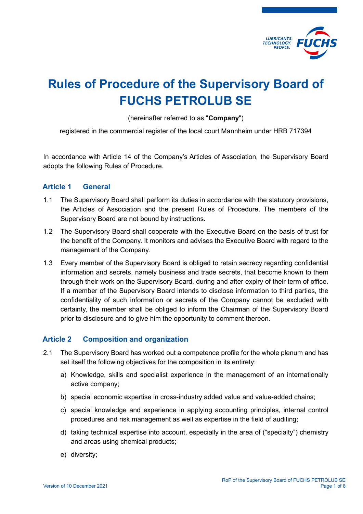

# Rules of Procedure of the Supervisory Board of FUCHS PETROLUB SE

(hereinafter referred to as "Company")

registered in the commercial register of the local court Mannheim under HRB 717394

In accordance with Article 14 of the Company's Articles of Association, the Supervisory Board adopts the following Rules of Procedure.

## Article 1 General

- 1.1 The Supervisory Board shall perform its duties in accordance with the statutory provisions, the Articles of Association and the present Rules of Procedure. The members of the Supervisory Board are not bound by instructions.
- 1.2 The Supervisory Board shall cooperate with the Executive Board on the basis of trust for the benefit of the Company. It monitors and advises the Executive Board with regard to the management of the Company.
- 1.3 Every member of the Supervisory Board is obliged to retain secrecy regarding confidential information and secrets, namely business and trade secrets, that become known to them through their work on the Supervisory Board, during and after expiry of their term of office. If a member of the Supervisory Board intends to disclose information to third parties, the confidentiality of such information or secrets of the Company cannot be excluded with certainty, the member shall be obliged to inform the Chairman of the Supervisory Board prior to disclosure and to give him the opportunity to comment thereon.

# Article 2 Composition and organization

- 2.1 The Supervisory Board has worked out a competence profile for the whole plenum and has set itself the following objectives for the composition in its entirety:
	- a) Knowledge, skills and specialist experience in the management of an internationally active company;
	- b) special economic expertise in cross-industry added value and value-added chains;
	- c) special knowledge and experience in applying accounting principles, internal control procedures and risk management as well as expertise in the field of auditing;
	- d) taking technical expertise into account, especially in the area of ("specialty") chemistry and areas using chemical products;
	- e) diversity;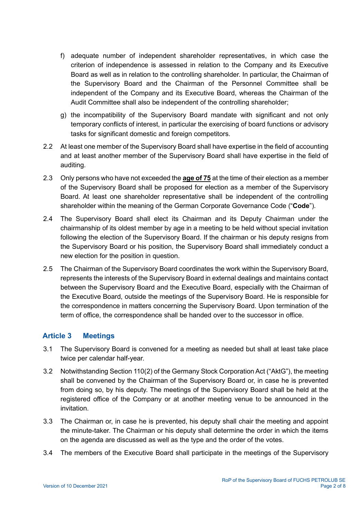- f) adequate number of independent shareholder representatives, in which case the criterion of independence is assessed in relation to the Company and its Executive Board as well as in relation to the controlling shareholder. In particular, the Chairman of the Supervisory Board and the Chairman of the Personnel Committee shall be independent of the Company and its Executive Board, whereas the Chairman of the Audit Committee shall also be independent of the controlling shareholder;
- g) the incompatibility of the Supervisory Board mandate with significant and not only temporary conflicts of interest, in particular the exercising of board functions or advisory tasks for significant domestic and foreign competitors.
- 2.2 At least one member of the Supervisory Board shall have expertise in the field of accounting and at least another member of the Supervisory Board shall have expertise in the field of auditing.
- 2.3 Only persons who have not exceeded the **age of 75** at the time of their election as a member of the Supervisory Board shall be proposed for election as a member of the Supervisory Board. At least one shareholder representative shall be independent of the controlling shareholder within the meaning of the German Corporate Governance Code ("Code").
- 2.4 The Supervisory Board shall elect its Chairman and its Deputy Chairman under the chairmanship of its oldest member by age in a meeting to be held without special invitation following the election of the Supervisory Board. If the chairman or his deputy resigns from the Supervisory Board or his position, the Supervisory Board shall immediately conduct a new election for the position in question.
- 2.5 The Chairman of the Supervisory Board coordinates the work within the Supervisory Board, represents the interests of the Supervisory Board in external dealings and maintains contact between the Supervisory Board and the Executive Board, especially with the Chairman of the Executive Board, outside the meetings of the Supervisory Board. He is responsible for the correspondence in matters concerning the Supervisory Board. Upon termination of the term of office, the correspondence shall be handed over to the successor in office.

# Article 3 Meetings

- 3.1 The Supervisory Board is convened for a meeting as needed but shall at least take place twice per calendar half-year.
- 3.2 Notwithstanding Section 110(2) of the Germany Stock Corporation Act ("AktG"), the meeting shall be convened by the Chairman of the Supervisory Board or, in case he is prevented from doing so, by his deputy. The meetings of the Supervisory Board shall be held at the registered office of the Company or at another meeting venue to be announced in the invitation.
- 3.3 The Chairman or, in case he is prevented, his deputy shall chair the meeting and appoint the minute-taker. The Chairman or his deputy shall determine the order in which the items on the agenda are discussed as well as the type and the order of the votes.
- 3.4 The members of the Executive Board shall participate in the meetings of the Supervisory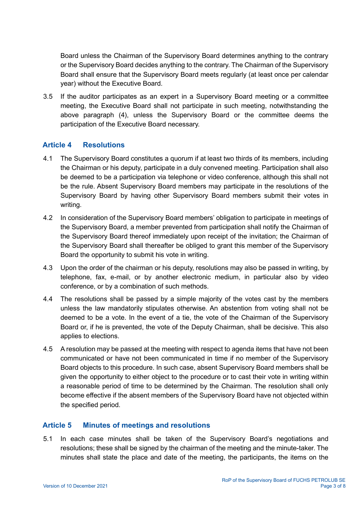Board unless the Chairman of the Supervisory Board determines anything to the contrary or the Supervisory Board decides anything to the contrary. The Chairman of the Supervisory Board shall ensure that the Supervisory Board meets regularly (at least once per calendar year) without the Executive Board.

3.5 If the auditor participates as an expert in a Supervisory Board meeting or a committee meeting, the Executive Board shall not participate in such meeting, notwithstanding the above paragraph (4), unless the Supervisory Board or the committee deems the participation of the Executive Board necessary.

## Article 4 Resolutions

- 4.1 The Supervisory Board constitutes a quorum if at least two thirds of its members, including the Chairman or his deputy, participate in a duly convened meeting. Participation shall also be deemed to be a participation via telephone or video conference, although this shall not be the rule. Absent Supervisory Board members may participate in the resolutions of the Supervisory Board by having other Supervisory Board members submit their votes in writing.
- 4.2 In consideration of the Supervisory Board members' obligation to participate in meetings of the Supervisory Board, a member prevented from participation shall notify the Chairman of the Supervisory Board thereof immediately upon receipt of the invitation; the Chairman of the Supervisory Board shall thereafter be obliged to grant this member of the Supervisory Board the opportunity to submit his vote in writing.
- 4.3 Upon the order of the chairman or his deputy, resolutions may also be passed in writing, by telephone, fax, e-mail, or by another electronic medium, in particular also by video conference, or by a combination of such methods.
- 4.4 The resolutions shall be passed by a simple majority of the votes cast by the members unless the law mandatorily stipulates otherwise. An abstention from voting shall not be deemed to be a vote. In the event of a tie, the vote of the Chairman of the Supervisory Board or, if he is prevented, the vote of the Deputy Chairman, shall be decisive. This also applies to elections.
- 4.5 A resolution may be passed at the meeting with respect to agenda items that have not been communicated or have not been communicated in time if no member of the Supervisory Board objects to this procedure. In such case, absent Supervisory Board members shall be given the opportunity to either object to the procedure or to cast their vote in writing within a reasonable period of time to be determined by the Chairman. The resolution shall only become effective if the absent members of the Supervisory Board have not objected within the specified period.

## Article 5 Minutes of meetings and resolutions

5.1 In each case minutes shall be taken of the Supervisory Board's negotiations and resolutions; these shall be signed by the chairman of the meeting and the minute-taker. The minutes shall state the place and date of the meeting, the participants, the items on the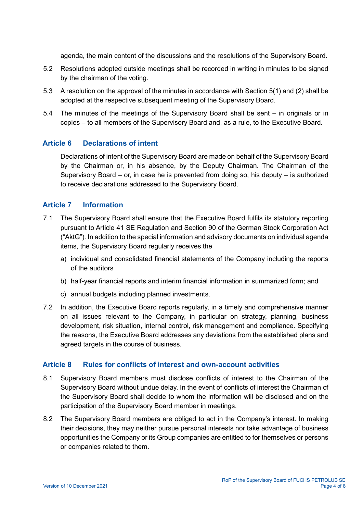agenda, the main content of the discussions and the resolutions of the Supervisory Board.

- 5.2 Resolutions adopted outside meetings shall be recorded in writing in minutes to be signed by the chairman of the voting.
- 5.3 A resolution on the approval of the minutes in accordance with Section 5(1) and (2) shall be adopted at the respective subsequent meeting of the Supervisory Board.
- 5.4 The minutes of the meetings of the Supervisory Board shall be sent in originals or in copies – to all members of the Supervisory Board and, as a rule, to the Executive Board.

## Article 6 Declarations of intent

Declarations of intent of the Supervisory Board are made on behalf of the Supervisory Board by the Chairman or, in his absence, by the Deputy Chairman. The Chairman of the Supervisory Board – or, in case he is prevented from doing so, his deputy – is authorized to receive declarations addressed to the Supervisory Board.

#### Article 7 Information

- 7.1 The Supervisory Board shall ensure that the Executive Board fulfils its statutory reporting pursuant to Article 41 SE Regulation and Section 90 of the German Stock Corporation Act ("AktG"). In addition to the special information and advisory documents on individual agenda items, the Supervisory Board regularly receives the
	- a) individual and consolidated financial statements of the Company including the reports of the auditors
	- b) half-year financial reports and interim financial information in summarized form; and
	- c) annual budgets including planned investments.
- 7.2 In addition, the Executive Board reports regularly, in a timely and comprehensive manner on all issues relevant to the Company, in particular on strategy, planning, business development, risk situation, internal control, risk management and compliance. Specifying the reasons, the Executive Board addresses any deviations from the established plans and agreed targets in the course of business.

#### Article 8 Rules for conflicts of interest and own-account activities

- 8.1 Supervisory Board members must disclose conflicts of interest to the Chairman of the Supervisory Board without undue delay. In the event of conflicts of interest the Chairman of the Supervisory Board shall decide to whom the information will be disclosed and on the participation of the Supervisory Board member in meetings.
- 8.2 The Supervisory Board members are obliged to act in the Company's interest. In making their decisions, they may neither pursue personal interests nor take advantage of business opportunities the Company or its Group companies are entitled to for themselves or persons or companies related to them.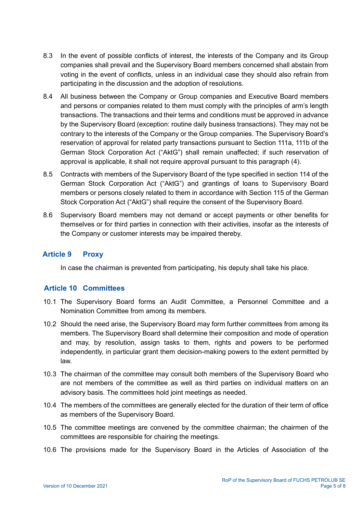- 8.3 In the event of possible conflicts of interest, the interests of the Company and its Group companies shall prevail and the Supervisory Board members concerned shall abstain from voting in the event of conflicts, unless in an individual case they should also refrain from participating in the discussion and the adoption of resolutions.
- 8.4 All business between the Company or Group companies and Executive Board members and persons or companies related to them must comply with the principles of arm's length transactions. The transactions and their terms and conditions must be approved in advance by the Supervisory Board (exception: routine daily business transactions). They may not be contrary to the interests of the Company or the Group companies. The Supervisory Board's reservation of approval for related party transactions pursuant to Section 111a, 111b of the German Stock Corporation Act ("AktG") shall remain unaffected; if such reservation of approval is applicable, it shall not require approval pursuant to this paragraph (4).
- 8.5 Contracts with members of the Supervisory Board of the type specified in section 114 of the German Stock Corporation Act ("AktG") and grantings of loans to Supervisory Board members or persons closely related to them in accordance with Section 115 of the German Stock Corporation Act ("AktG") shall require the consent of the Supervisory Board.
- 8.6 Supervisory Board members may not demand or accept payments or other benefits for themselves or for third parties in connection with their activities, insofar as the interests of the Company or customer interests may be impaired thereby.

# Article 9 Proxy

In case the chairman is prevented from participating, his deputy shall take his place.

## Article 10 Committees

- 10.1 The Supervisory Board forms an Audit Committee, a Personnel Committee and a Nomination Committee from among its members.
- 10.2 Should the need arise, the Supervisory Board may form further committees from among its members. The Supervisory Board shall determine their composition and mode of operation and may, by resolution, assign tasks to them, rights and powers to be performed independently, in particular grant them decision-making powers to the extent permitted by law.
- 10.3 The chairman of the committee may consult both members of the Supervisory Board who are not members of the committee as well as third parties on individual matters on an advisory basis. The committees hold joint meetings as needed.
- 10.4 The members of the committees are generally elected for the duration of their term of office as members of the Supervisory Board.
- 10.5 The committee meetings are convened by the committee chairman; the chairmen of the committees are responsible for chairing the meetings.
- 10.6 The provisions made for the Supervisory Board in the Articles of Association of the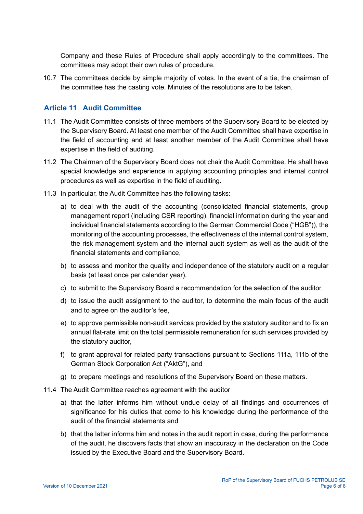Company and these Rules of Procedure shall apply accordingly to the committees. The committees may adopt their own rules of procedure.

10.7 The committees decide by simple majority of votes. In the event of a tie, the chairman of the committee has the casting vote. Minutes of the resolutions are to be taken.

### Article 11 Audit Committee

- 11.1 The Audit Committee consists of three members of the Supervisory Board to be elected by the Supervisory Board. At least one member of the Audit Committee shall have expertise in the field of accounting and at least another member of the Audit Committee shall have expertise in the field of auditing.
- 11.2 The Chairman of the Supervisory Board does not chair the Audit Committee. He shall have special knowledge and experience in applying accounting principles and internal control procedures as well as expertise in the field of auditing.
- 11.3 In particular, the Audit Committee has the following tasks:
	- a) to deal with the audit of the accounting (consolidated financial statements, group management report (including CSR reporting), financial information during the year and individual financial statements according to the German Commercial Code ("HGB")), the monitoring of the accounting processes, the effectiveness of the internal control system, the risk management system and the internal audit system as well as the audit of the financial statements and compliance,
	- b) to assess and monitor the quality and independence of the statutory audit on a regular basis (at least once per calendar year),
	- c) to submit to the Supervisory Board a recommendation for the selection of the auditor,
	- d) to issue the audit assignment to the auditor, to determine the main focus of the audit and to agree on the auditor's fee,
	- e) to approve permissible non-audit services provided by the statutory auditor and to fix an annual flat-rate limit on the total permissible remuneration for such services provided by the statutory auditor,
	- f) to grant approval for related party transactions pursuant to Sections 111a, 111b of the German Stock Corporation Act ("AktG"), and
	- g) to prepare meetings and resolutions of the Supervisory Board on these matters.
- 11.4 The Audit Committee reaches agreement with the auditor
	- a) that the latter informs him without undue delay of all findings and occurrences of significance for his duties that come to his knowledge during the performance of the audit of the financial statements and
	- b) that the latter informs him and notes in the audit report in case, during the performance of the audit, he discovers facts that show an inaccuracy in the declaration on the Code issued by the Executive Board and the Supervisory Board.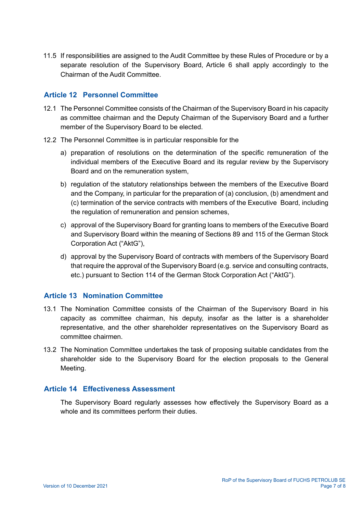11.5 If responsibilities are assigned to the Audit Committee by these Rules of Procedure or by a separate resolution of the Supervisory Board, Article 6 shall apply accordingly to the Chairman of the Audit Committee.

## Article 12 Personnel Committee

- 12.1 The Personnel Committee consists of the Chairman of the Supervisory Board in his capacity as committee chairman and the Deputy Chairman of the Supervisory Board and a further member of the Supervisory Board to be elected.
- 12.2 The Personnel Committee is in particular responsible for the
	- a) preparation of resolutions on the determination of the specific remuneration of the individual members of the Executive Board and its regular review by the Supervisory Board and on the remuneration system,
	- b) regulation of the statutory relationships between the members of the Executive Board and the Company, in particular for the preparation of (a) conclusion, (b) amendment and (c) termination of the service contracts with members of the Executive Board, including the regulation of remuneration and pension schemes,
	- c) approval of the Supervisory Board for granting loans to members of the Executive Board and Supervisory Board within the meaning of Sections 89 and 115 of the German Stock Corporation Act ("AktG"),
	- d) approval by the Supervisory Board of contracts with members of the Supervisory Board that require the approval of the Supervisory Board (e.g. service and consulting contracts, etc.) pursuant to Section 114 of the German Stock Corporation Act ("AktG").

## Article 13 Nomination Committee

- 13.1 The Nomination Committee consists of the Chairman of the Supervisory Board in his capacity as committee chairman, his deputy, insofar as the latter is a shareholder representative, and the other shareholder representatives on the Supervisory Board as committee chairmen.
- 13.2 The Nomination Committee undertakes the task of proposing suitable candidates from the shareholder side to the Supervisory Board for the election proposals to the General Meeting.

#### Article 14 Effectiveness Assessment

The Supervisory Board regularly assesses how effectively the Supervisory Board as a whole and its committees perform their duties.